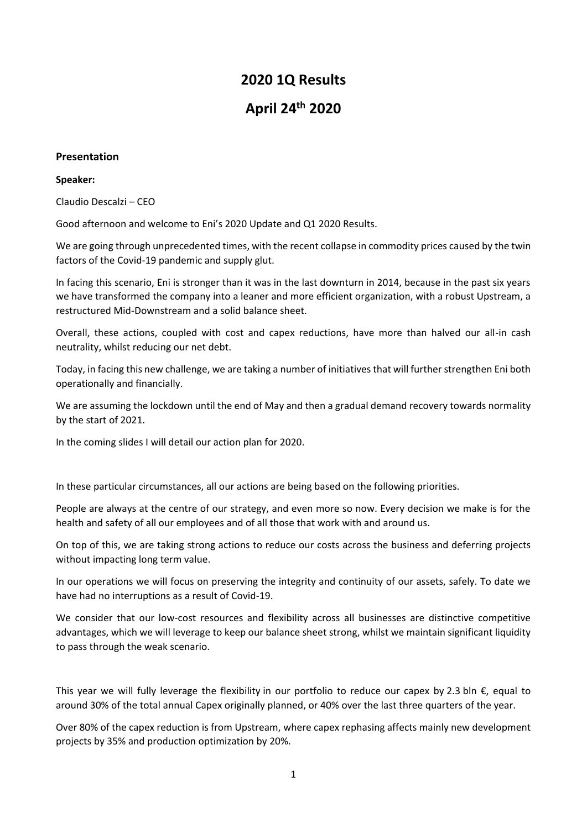# **2020 1Q Results**

# **April 24th 2020**

# **Presentation**

## **Speaker:**

Claudio Descalzi – CEO

Good afternoon and welcome to Eni's 2020 Update and Q1 2020 Results.

We are going through unprecedented times, with the recent collapse in commodity prices caused by the twin factors of the Covid-19 pandemic and supply glut.

In facing this scenario, Eni is stronger than it was in the last downturn in 2014, because in the past six years we have transformed the company into a leaner and more efficient organization, with a robust Upstream, a restructured Mid-Downstream and a solid balance sheet.

Overall, these actions, coupled with cost and capex reductions, have more than halved our all-in cash neutrality, whilst reducing our net debt.

Today, in facing this new challenge, we are taking a number of initiatives that will further strengthen Eni both operationally and financially.

We are assuming the lockdown until the end of May and then a gradual demand recovery towards normality by the start of 2021.

In the coming slides I will detail our action plan for 2020.

In these particular circumstances, all our actions are being based on the following priorities.

People are always at the centre of our strategy, and even more so now. Every decision we make is for the health and safety of all our employees and of all those that work with and around us.

On top of this, we are taking strong actions to reduce our costs across the business and deferring projects without impacting long term value.

In our operations we will focus on preserving the integrity and continuity of our assets, safely. To date we have had no interruptions as a result of Covid-19.

We consider that our low-cost resources and flexibility across all businesses are distinctive competitive advantages, which we will leverage to keep our balance sheet strong, whilst we maintain significant liquidity to pass through the weak scenario.

This year we will fully leverage the flexibility in our portfolio to reduce our capex by 2.3 bln  $\epsilon$ , equal to around 30% of the total annual Capex originally planned, or 40% over the last three quarters of the year.

Over 80% of the capex reduction is from Upstream, where capex rephasing affects mainly new development projects by 35% and production optimization by 20%.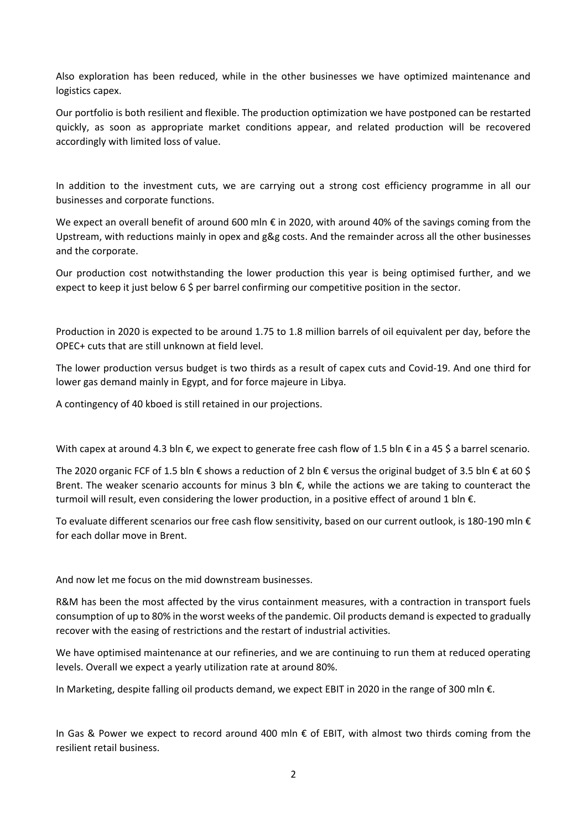Also exploration has been reduced, while in the other businesses we have optimized maintenance and logistics capex.

Our portfolio is both resilient and flexible. The production optimization we have postponed can be restarted quickly, as soon as appropriate market conditions appear, and related production will be recovered accordingly with limited loss of value.

In addition to the investment cuts, we are carrying out a strong cost efficiency programme in all our businesses and corporate functions.

We expect an overall benefit of around 600 mln € in 2020, with around 40% of the savings coming from the Upstream, with reductions mainly in opex and g&g costs. And the remainder across all the other businesses and the corporate.

Our production cost notwithstanding the lower production this year is being optimised further, and we expect to keep it just below 6 \$ per barrel confirming our competitive position in the sector.

Production in 2020 is expected to be around 1.75 to 1.8 million barrels of oil equivalent per day, before the OPEC+ cuts that are still unknown at field level.

The lower production versus budget is two thirds as a result of capex cuts and Covid-19. And one third for lower gas demand mainly in Egypt, and for force majeure in Libya.

A contingency of 40 kboed is still retained in our projections.

With capex at around 4.3 bln €, we expect to generate free cash flow of 1.5 bln € in a 45 \$ a barrel scenario.

The 2020 organic FCF of 1.5 bln € shows a reduction of 2 bln € versus the original budget of 3.5 bln € at 60 \$ Brent. The weaker scenario accounts for minus 3 bln  $\epsilon$ , while the actions we are taking to counteract the turmoil will result, even considering the lower production, in a positive effect of around 1 bln €.

To evaluate different scenarios our free cash flow sensitivity, based on our current outlook, is 180-190 mln € for each dollar move in Brent.

And now let me focus on the mid downstream businesses.

R&M has been the most affected by the virus containment measures, with a contraction in transport fuels consumption of up to 80% in the worst weeks of the pandemic. Oil products demand is expected to gradually recover with the easing of restrictions and the restart of industrial activities.

We have optimised maintenance at our refineries, and we are continuing to run them at reduced operating levels. Overall we expect a yearly utilization rate at around 80%.

In Marketing, despite falling oil products demand, we expect EBIT in 2020 in the range of 300 mln €.

In Gas & Power we expect to record around 400 mln € of EBIT, with almost two thirds coming from the resilient retail business.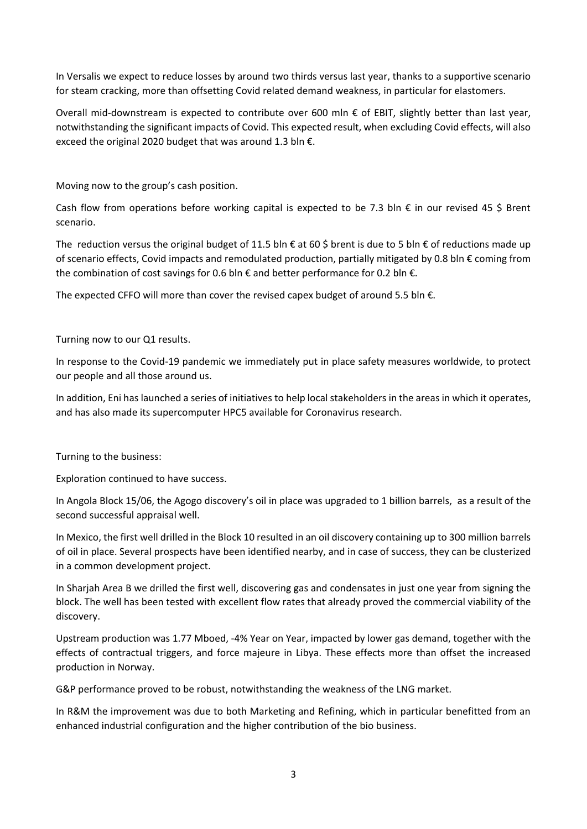In Versalis we expect to reduce losses by around two thirds versus last year, thanks to a supportive scenario for steam cracking, more than offsetting Covid related demand weakness, in particular for elastomers.

Overall mid-downstream is expected to contribute over 600 mln € of EBIT, slightly better than last year, notwithstanding the significant impacts of Covid. This expected result, when excluding Covid effects, will also exceed the original 2020 budget that was around 1.3 bln €.

Moving now to the group's cash position.

Cash flow from operations before working capital is expected to be 7.3 bln  $\epsilon$  in our revised 45 \$ Brent scenario.

The reduction versus the original budget of 11.5 bln  $\epsilon$  at 60 \$ brent is due to 5 bln  $\epsilon$  of reductions made up of scenario effects, Covid impacts and remodulated production, partially mitigated by 0.8 bln  $\epsilon$  coming from the combination of cost savings for 0.6 bln  $\epsilon$  and better performance for 0.2 bln  $\epsilon$ .

The expected CFFO will more than cover the revised capex budget of around 5.5 bln  $\epsilon$ .

Turning now to our Q1 results.

In response to the Covid-19 pandemic we immediately put in place safety measures worldwide, to protect our people and all those around us.

In addition, Eni has launched a series of initiatives to help local stakeholders in the areas in which it operates, and has also made its supercomputer HPC5 available for Coronavirus research.

Turning to the business:

Exploration continued to have success.

In Angola Block 15/06, the Agogo discovery's oil in place was upgraded to 1 billion barrels, as a result of the second successful appraisal well.

In Mexico, the first well drilled in the Block 10 resulted in an oil discovery containing up to 300 million barrels of oil in place. Several prospects have been identified nearby, and in case of success, they can be clusterized in a common development project.

In Sharjah Area B we drilled the first well, discovering gas and condensates in just one year from signing the block. The well has been tested with excellent flow rates that already proved the commercial viability of the discovery.

Upstream production was 1.77 Mboed, -4% Year on Year, impacted by lower gas demand, together with the effects of contractual triggers, and force majeure in Libya. These effects more than offset the increased production in Norway.

G&P performance proved to be robust, notwithstanding the weakness of the LNG market.

In R&M the improvement was due to both Marketing and Refining, which in particular benefitted from an enhanced industrial configuration and the higher contribution of the bio business.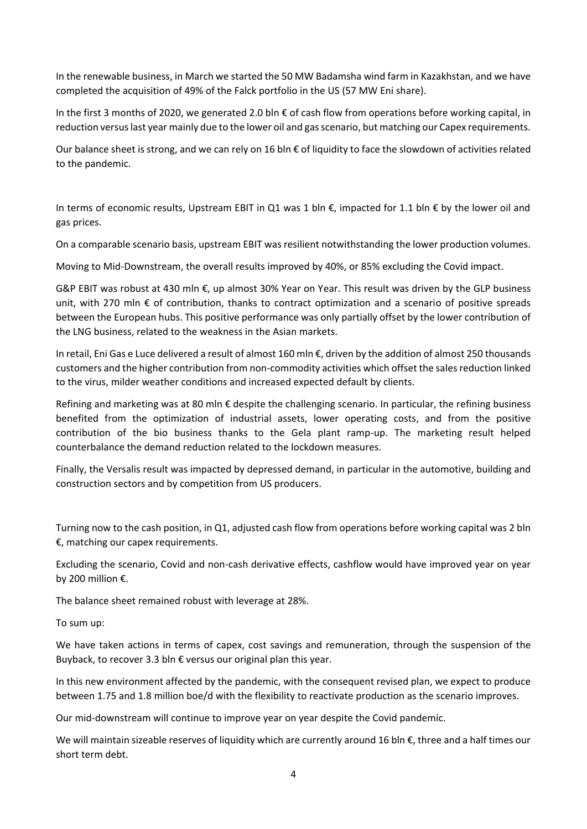In the renewable business, in March we started the 50 MW Badamsha wind farm in Kazakhstan, and we have completed the acquisition of 49% of the Falck portfolio in the US (57 MW Eni share).

In the first 3 months of 2020, we generated 2.0 bln € of cash flow from operations before working capital, in reduction versus last year mainly due to the lower oil and gas scenario, but matching our Capex requirements.

Our balance sheet is strong, and we can rely on 16 bln  $\epsilon$  of liquidity to face the slowdown of activities related to the pandemic.

In terms of economic results, Upstream EBIT in Q1 was 1 bln €, impacted for 1.1 bln € by the lower oil and gas prices.

On a comparable scenario basis, upstream EBIT was resilient notwithstanding the lower production volumes.

Moving to Mid-Downstream, the overall results improved by 40%, or 85% excluding the Covid impact.

G&P EBIT was robust at 430 mln €, up almost 30% Year on Year. This result was driven by the GLP business unit, with 270 mln € of contribution, thanks to contract optimization and a scenario of positive spreads between the European hubs. This positive performance was only partially offset by the lower contribution of the LNG business, related to the weakness in the Asian markets.

In retail, Eni Gas e Luce delivered a result of almost 160 mln €, driven by the addition of almost 250 thousands customers and the higher contribution from non-commodity activities which offset the sales reduction linked to the virus, milder weather conditions and increased expected default by clients.

Refining and marketing was at 80 mln  $\epsilon$  despite the challenging scenario. In particular, the refining business benefited from the optimization of industrial assets, lower operating costs, and from the positive contribution of the bio business thanks to the Gela plant ramp-up. The marketing result helped counterbalance the demand reduction related to the lockdown measures.

Finally, the Versalis result was impacted by depressed demand, in particular in the automotive, building and construction sectors and by competition from US producers.

Turning now to the cash position, in Q1, adjusted cash flow from operations before working capital was 2 bln €, matching our capex requirements.

Excluding the scenario, Covid and non-cash derivative effects, cashflow would have improved year on year by 200 million €.

The balance sheet remained robust with leverage at 28%.

To sum up:

We have taken actions in terms of capex, cost savings and remuneration, through the suspension of the Buyback, to recover 3.3 bln  $\epsilon$  versus our original plan this year.

In this new environment affected by the pandemic, with the consequent revised plan, we expect to produce between 1.75 and 1.8 million boe/d with the flexibility to reactivate production as the scenario improves.

Our mid-downstream will continue to improve year on year despite the Covid pandemic.

We will maintain sizeable reserves of liquidity which are currently around 16 bln €, three and a half times our short term debt.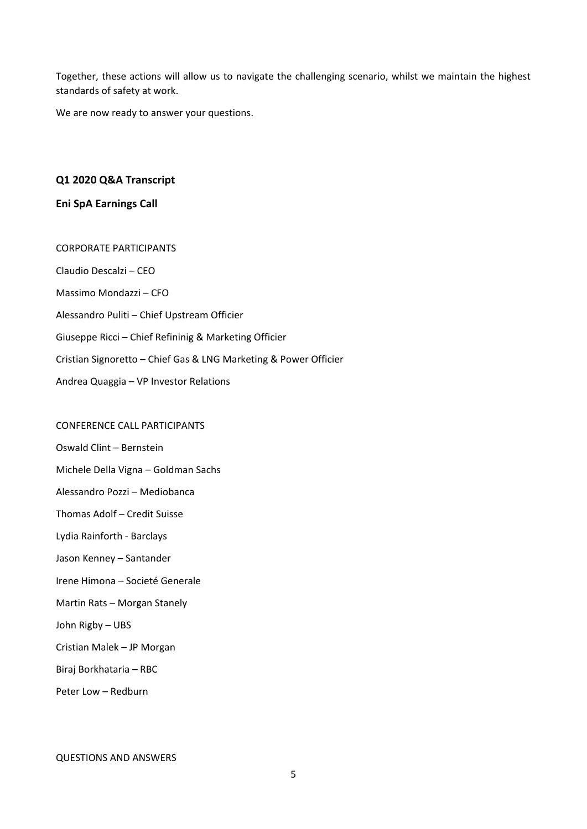Together, these actions will allow us to navigate the challenging scenario, whilst we maintain the highest standards of safety at work.

We are now ready to answer your questions.

# **Q1 2020 Q&A Transcript**

## **Eni SpA Earnings Call**

CORPORATE PARTICIPANTS Claudio Descalzi – CEO Massimo Mondazzi – CFO Alessandro Puliti – Chief Upstream Officier Giuseppe Ricci – Chief Refininig & Marketing Officier Cristian Signoretto – Chief Gas & LNG Marketing & Power Officier Andrea Quaggia – VP Investor Relations

#### CONFERENCE CALL PARTICIPANTS

Oswald Clint – Bernstein

- Michele Della Vigna Goldman Sachs
- Alessandro Pozzi Mediobanca
- Thomas Adolf Credit Suisse
- Lydia Rainforth Barclays
- Jason Kenney Santander
- Irene Himona Societé Generale
- Martin Rats Morgan Stanely
- John Rigby UBS
- Cristian Malek JP Morgan
- Biraj Borkhataria RBC
- Peter Low Redburn

#### QUESTIONS AND ANSWERS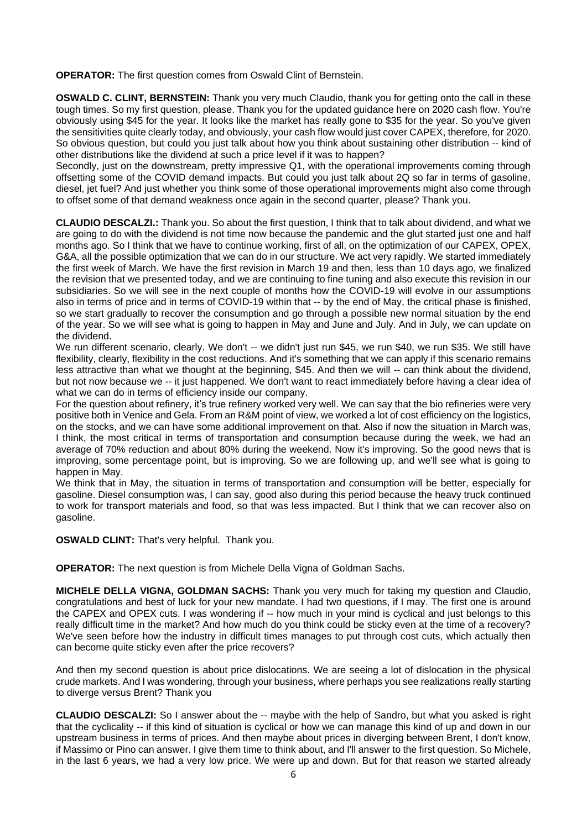**OPERATOR:** The first question comes from Oswald Clint of Bernstein.

**OSWALD C. CLINT, BERNSTEIN:** Thank you very much Claudio, thank you for getting onto the call in these tough times. So my first question, please. Thank you for the updated guidance here on 2020 cash flow. You're obviously using \$45 for the year. It looks like the market has really gone to \$35 for the year. So you've given the sensitivities quite clearly today, and obviously, your cash flow would just cover CAPEX, therefore, for 2020. So obvious question, but could you just talk about how you think about sustaining other distribution -- kind of other distributions like the dividend at such a price level if it was to happen?

Secondly, just on the downstream, pretty impressive Q1, with the operational improvements coming through offsetting some of the COVID demand impacts. But could you just talk about 2Q so far in terms of gasoline, diesel, jet fuel? And just whether you think some of those operational improvements might also come through to offset some of that demand weakness once again in the second quarter, please? Thank you.

**CLAUDIO DESCALZI.:** Thank you. So about the first question, I think that to talk about dividend, and what we are going to do with the dividend is not time now because the pandemic and the glut started just one and half months ago. So I think that we have to continue working, first of all, on the optimization of our CAPEX, OPEX, G&A, all the possible optimization that we can do in our structure. We act very rapidly. We started immediately the first week of March. We have the first revision in March 19 and then, less than 10 days ago, we finalized the revision that we presented today, and we are continuing to fine tuning and also execute this revision in our subsidiaries. So we will see in the next couple of months how the COVID-19 will evolve in our assumptions also in terms of price and in terms of COVID-19 within that -- by the end of May, the critical phase is finished, so we start gradually to recover the consumption and go through a possible new normal situation by the end of the year. So we will see what is going to happen in May and June and July. And in July, we can update on the dividend.

We run different scenario, clearly. We don't -- we didn't just run \$45, we run \$40, we run \$35. We still have flexibility, clearly, flexibility in the cost reductions. And it's something that we can apply if this scenario remains less attractive than what we thought at the beginning, \$45. And then we will -- can think about the dividend, but not now because we -- it just happened. We don't want to react immediately before having a clear idea of what we can do in terms of efficiency inside our company.

For the question about refinery, it's true refinery worked very well. We can say that the bio refineries were very positive both in Venice and Gela. From an R&M point of view, we worked a lot of cost efficiency on the logistics, on the stocks, and we can have some additional improvement on that. Also if now the situation in March was, I think, the most critical in terms of transportation and consumption because during the week, we had an average of 70% reduction and about 80% during the weekend. Now it's improving. So the good news that is improving, some percentage point, but is improving. So we are following up, and we'll see what is going to happen in May.

We think that in May, the situation in terms of transportation and consumption will be better, especially for gasoline. Diesel consumption was, I can say, good also during this period because the heavy truck continued to work for transport materials and food, so that was less impacted. But I think that we can recover also on gasoline.

**OSWALD CLINT:** That's very helpful. Thank you.

**OPERATOR:** The next question is from Michele Della Vigna of Goldman Sachs.

**MICHELE DELLA VIGNA, GOLDMAN SACHS:** Thank you very much for taking my question and Claudio, congratulations and best of luck for your new mandate. I had two questions, if I may. The first one is around the CAPEX and OPEX cuts. I was wondering if -- how much in your mind is cyclical and just belongs to this really difficult time in the market? And how much do you think could be sticky even at the time of a recovery? We've seen before how the industry in difficult times manages to put through cost cuts, which actually then can become quite sticky even after the price recovers?

And then my second question is about price dislocations. We are seeing a lot of dislocation in the physical crude markets. And I was wondering, through your business, where perhaps you see realizations really starting to diverge versus Brent? Thank you

**CLAUDIO DESCALZI:** So I answer about the -- maybe with the help of Sandro, but what you asked is right that the cyclicality -- if this kind of situation is cyclical or how we can manage this kind of up and down in our upstream business in terms of prices. And then maybe about prices in diverging between Brent, I don't know, if Massimo or Pino can answer. I give them time to think about, and I'll answer to the first question. So Michele, in the last 6 years, we had a very low price. We were up and down. But for that reason we started already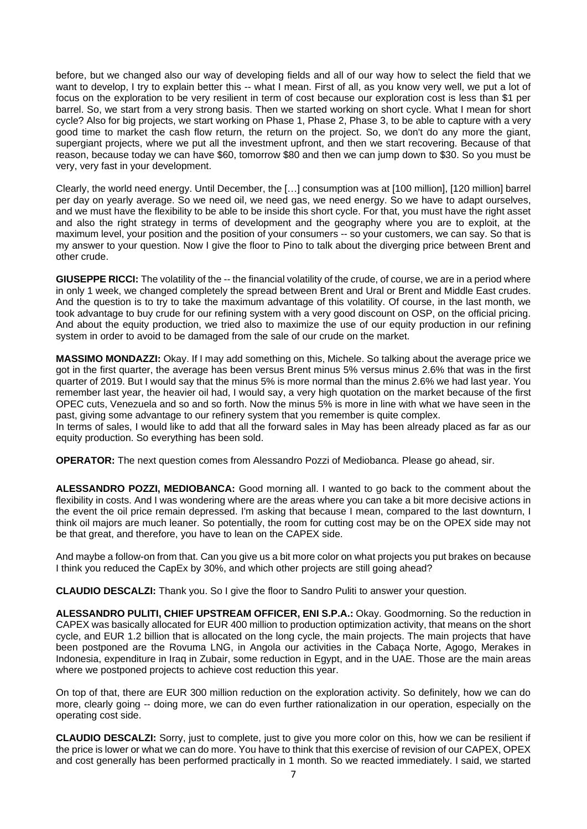before, but we changed also our way of developing fields and all of our way how to select the field that we want to develop, I try to explain better this -- what I mean. First of all, as you know very well, we put a lot of focus on the exploration to be very resilient in term of cost because our exploration cost is less than \$1 per barrel. So, we start from a very strong basis. Then we started working on short cycle. What I mean for short cycle? Also for big projects, we start working on Phase 1, Phase 2, Phase 3, to be able to capture with a very good time to market the cash flow return, the return on the project. So, we don't do any more the giant, supergiant projects, where we put all the investment upfront, and then we start recovering. Because of that reason, because today we can have \$60, tomorrow \$80 and then we can jump down to \$30. So you must be very, very fast in your development.

Clearly, the world need energy. Until December, the […] consumption was at [100 million], [120 million] barrel per day on yearly average. So we need oil, we need gas, we need energy. So we have to adapt ourselves, and we must have the flexibility to be able to be inside this short cycle. For that, you must have the right asset and also the right strategy in terms of development and the geography where you are to exploit, at the maximum level, your position and the position of your consumers -- so your customers, we can say. So that is my answer to your question. Now I give the floor to Pino to talk about the diverging price between Brent and other crude.

**GIUSEPPE RICCI:** The volatility of the -- the financial volatility of the crude, of course, we are in a period where in only 1 week, we changed completely the spread between Brent and Ural or Brent and Middle East crudes. And the question is to try to take the maximum advantage of this volatility. Of course, in the last month, we took advantage to buy crude for our refining system with a very good discount on OSP, on the official pricing. And about the equity production, we tried also to maximize the use of our equity production in our refining system in order to avoid to be damaged from the sale of our crude on the market.

**MASSIMO MONDAZZI:** Okay. If I may add something on this, Michele. So talking about the average price we got in the first quarter, the average has been versus Brent minus 5% versus minus 2.6% that was in the first quarter of 2019. But I would say that the minus 5% is more normal than the minus 2.6% we had last year. You remember last year, the heavier oil had, I would say, a very high quotation on the market because of the first OPEC cuts, Venezuela and so and so forth. Now the minus 5% is more in line with what we have seen in the past, giving some advantage to our refinery system that you remember is quite complex.

In terms of sales, I would like to add that all the forward sales in May has been already placed as far as our equity production. So everything has been sold.

**OPERATOR:** The next question comes from Alessandro Pozzi of Mediobanca. Please go ahead, sir.

**ALESSANDRO POZZI, MEDIOBANCA:** Good morning all. I wanted to go back to the comment about the flexibility in costs. And I was wondering where are the areas where you can take a bit more decisive actions in the event the oil price remain depressed. I'm asking that because I mean, compared to the last downturn, I think oil majors are much leaner. So potentially, the room for cutting cost may be on the OPEX side may not be that great, and therefore, you have to lean on the CAPEX side.

And maybe a follow-on from that. Can you give us a bit more color on what projects you put brakes on because I think you reduced the CapEx by 30%, and which other projects are still going ahead?

**CLAUDIO DESCALZI:** Thank you. So I give the floor to Sandro Puliti to answer your question.

**ALESSANDRO PULITI, CHIEF UPSTREAM OFFICER, ENI S.P.A.:** Okay. Goodmorning. So the reduction in CAPEX was basically allocated for EUR 400 million to production optimization activity, that means on the short cycle, and EUR 1.2 billion that is allocated on the long cycle, the main projects. The main projects that have been postponed are the Rovuma LNG, in Angola our activities in the Cabaça Norte, Agogo, Merakes in Indonesia, expenditure in Iraq in Zubair, some reduction in Egypt, and in the UAE. Those are the main areas where we postponed projects to achieve cost reduction this year.

On top of that, there are EUR 300 million reduction on the exploration activity. So definitely, how we can do more, clearly going -- doing more, we can do even further rationalization in our operation, especially on the operating cost side.

**CLAUDIO DESCALZI:** Sorry, just to complete, just to give you more color on this, how we can be resilient if the price is lower or what we can do more. You have to think that this exercise of revision of our CAPEX, OPEX and cost generally has been performed practically in 1 month. So we reacted immediately. I said, we started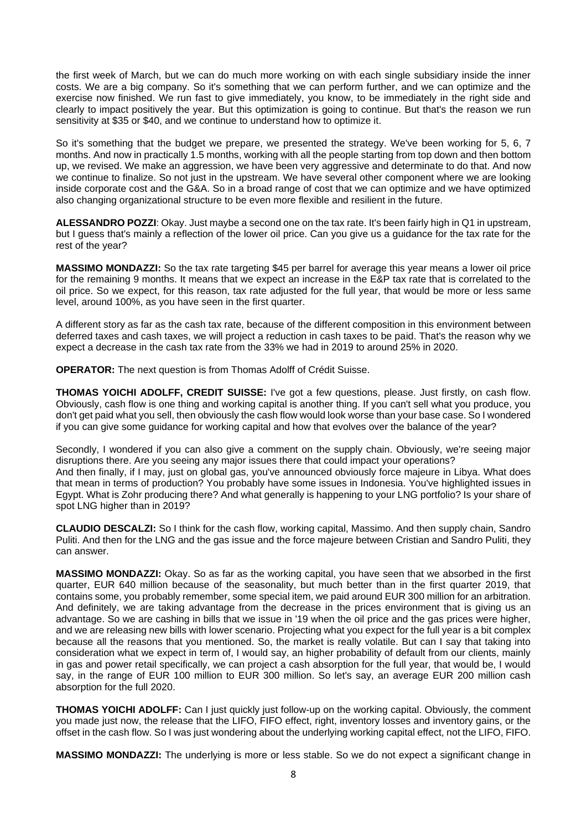the first week of March, but we can do much more working on with each single subsidiary inside the inner costs. We are a big company. So it's something that we can perform further, and we can optimize and the exercise now finished. We run fast to give immediately, you know, to be immediately in the right side and clearly to impact positively the year. But this optimization is going to continue. But that's the reason we run sensitivity at \$35 or \$40, and we continue to understand how to optimize it.

So it's something that the budget we prepare, we presented the strategy. We've been working for 5, 6, 7 months. And now in practically 1.5 months, working with all the people starting from top down and then bottom up, we revised. We make an aggression, we have been very aggressive and determinate to do that. And now we continue to finalize. So not just in the upstream. We have several other component where we are looking inside corporate cost and the G&A. So in a broad range of cost that we can optimize and we have optimized also changing organizational structure to be even more flexible and resilient in the future.

**ALESSANDRO POZZI**: Okay. Just maybe a second one on the tax rate. It's been fairly high in Q1 in upstream, but I guess that's mainly a reflection of the lower oil price. Can you give us a guidance for the tax rate for the rest of the year?

**MASSIMO MONDAZZI:** So the tax rate targeting \$45 per barrel for average this year means a lower oil price for the remaining 9 months. It means that we expect an increase in the E&P tax rate that is correlated to the oil price. So we expect, for this reason, tax rate adjusted for the full year, that would be more or less same level, around 100%, as you have seen in the first quarter.

A different story as far as the cash tax rate, because of the different composition in this environment between deferred taxes and cash taxes, we will project a reduction in cash taxes to be paid. That's the reason why we expect a decrease in the cash tax rate from the 33% we had in 2019 to around 25% in 2020.

**OPERATOR:** The next question is from Thomas Adolff of Crédit Suisse.

**THOMAS YOICHI ADOLFF, CREDIT SUISSE:** I've got a few questions, please. Just firstly, on cash flow. Obviously, cash flow is one thing and working capital is another thing. If you can't sell what you produce, you don't get paid what you sell, then obviously the cash flow would look worse than your base case. So I wondered if you can give some guidance for working capital and how that evolves over the balance of the year?

Secondly, I wondered if you can also give a comment on the supply chain. Obviously, we're seeing major disruptions there. Are you seeing any major issues there that could impact your operations? And then finally, if I may, just on global gas, you've announced obviously force majeure in Libya. What does that mean in terms of production? You probably have some issues in Indonesia. You've highlighted issues in Egypt. What is Zohr producing there? And what generally is happening to your LNG portfolio? Is your share of spot LNG higher than in 2019?

**CLAUDIO DESCALZI:** So I think for the cash flow, working capital, Massimo. And then supply chain, Sandro Puliti. And then for the LNG and the gas issue and the force majeure between Cristian and Sandro Puliti, they can answer.

**MASSIMO MONDAZZI:** Okay. So as far as the working capital, you have seen that we absorbed in the first quarter, EUR 640 million because of the seasonality, but much better than in the first quarter 2019, that contains some, you probably remember, some special item, we paid around EUR 300 million for an arbitration. And definitely, we are taking advantage from the decrease in the prices environment that is giving us an advantage. So we are cashing in bills that we issue in '19 when the oil price and the gas prices were higher, and we are releasing new bills with lower scenario. Projecting what you expect for the full year is a bit complex because all the reasons that you mentioned. So, the market is really volatile. But can I say that taking into consideration what we expect in term of, I would say, an higher probability of default from our clients, mainly in gas and power retail specifically, we can project a cash absorption for the full year, that would be, I would say, in the range of EUR 100 million to EUR 300 million. So let's say, an average EUR 200 million cash absorption for the full 2020.

**THOMAS YOICHI ADOLFF:** Can I just quickly just follow-up on the working capital. Obviously, the comment you made just now, the release that the LIFO, FIFO effect, right, inventory losses and inventory gains, or the offset in the cash flow. So I was just wondering about the underlying working capital effect, not the LIFO, FIFO.

**MASSIMO MONDAZZI:** The underlying is more or less stable. So we do not expect a significant change in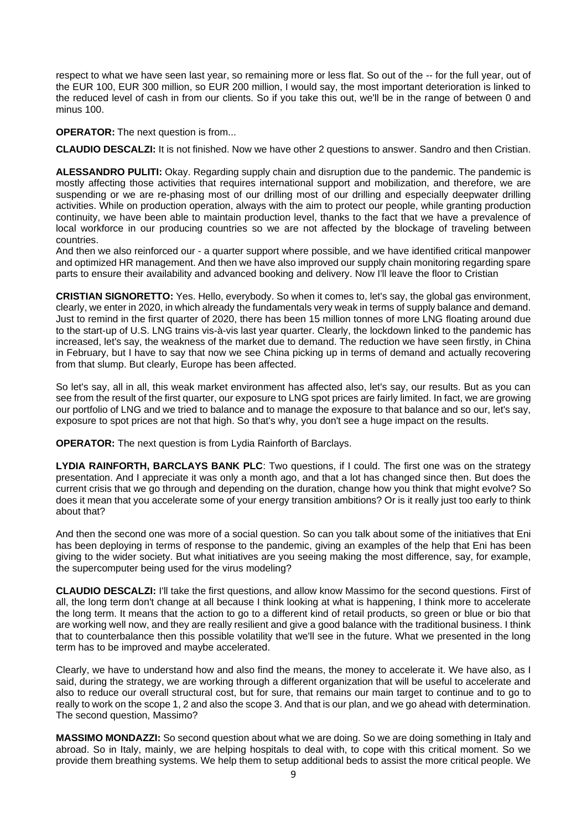respect to what we have seen last year, so remaining more or less flat. So out of the -- for the full year, out of the EUR 100, EUR 300 million, so EUR 200 million, I would say, the most important deterioration is linked to the reduced level of cash in from our clients. So if you take this out, we'll be in the range of between 0 and minus 100.

**OPERATOR:** The next question is from...

**CLAUDIO DESCALZI:** It is not finished. Now we have other 2 questions to answer. Sandro and then Cristian.

**ALESSANDRO PULITI:** Okay. Regarding supply chain and disruption due to the pandemic. The pandemic is mostly affecting those activities that requires international support and mobilization, and therefore, we are suspending or we are re-phasing most of our drilling most of our drilling and especially deepwater drilling activities. While on production operation, always with the aim to protect our people, while granting production continuity, we have been able to maintain production level, thanks to the fact that we have a prevalence of local workforce in our producing countries so we are not affected by the blockage of traveling between countries.

And then we also reinforced our - a quarter support where possible, and we have identified critical manpower and optimized HR management. And then we have also improved our supply chain monitoring regarding spare parts to ensure their availability and advanced booking and delivery. Now I'll leave the floor to Cristian

**CRISTIAN SIGNORETTO:** Yes. Hello, everybody. So when it comes to, let's say, the global gas environment, clearly, we enter in 2020, in which already the fundamentals very weak in terms of supply balance and demand. Just to remind in the first quarter of 2020, there has been 15 million tonnes of more LNG floating around due to the start-up of U.S. LNG trains vis-à-vis last year quarter. Clearly, the lockdown linked to the pandemic has increased, let's say, the weakness of the market due to demand. The reduction we have seen firstly, in China in February, but I have to say that now we see China picking up in terms of demand and actually recovering from that slump. But clearly, Europe has been affected.

So let's say, all in all, this weak market environment has affected also, let's say, our results. But as you can see from the result of the first quarter, our exposure to LNG spot prices are fairly limited. In fact, we are growing our portfolio of LNG and we tried to balance and to manage the exposure to that balance and so our, let's say, exposure to spot prices are not that high. So that's why, you don't see a huge impact on the results.

**OPERATOR:** The next question is from Lydia Rainforth of Barclays.

**LYDIA RAINFORTH, BARCLAYS BANK PLC**: Two questions, if I could. The first one was on the strategy presentation. And I appreciate it was only a month ago, and that a lot has changed since then. But does the current crisis that we go through and depending on the duration, change how you think that might evolve? So does it mean that you accelerate some of your energy transition ambitions? Or is it really just too early to think about that?

And then the second one was more of a social question. So can you talk about some of the initiatives that Eni has been deploying in terms of response to the pandemic, giving an examples of the help that Eni has been giving to the wider society. But what initiatives are you seeing making the most difference, say, for example, the supercomputer being used for the virus modeling?

**CLAUDIO DESCALZI:** I'll take the first questions, and allow know Massimo for the second questions. First of all, the long term don't change at all because I think looking at what is happening, I think more to accelerate the long term. It means that the action to go to a different kind of retail products, so green or blue or bio that are working well now, and they are really resilient and give a good balance with the traditional business. I think that to counterbalance then this possible volatility that we'll see in the future. What we presented in the long term has to be improved and maybe accelerated.

Clearly, we have to understand how and also find the means, the money to accelerate it. We have also, as I said, during the strategy, we are working through a different organization that will be useful to accelerate and also to reduce our overall structural cost, but for sure, that remains our main target to continue and to go to really to work on the scope 1, 2 and also the scope 3. And that is our plan, and we go ahead with determination. The second question, Massimo?

**MASSIMO MONDAZZI:** So second question about what we are doing. So we are doing something in Italy and abroad. So in Italy, mainly, we are helping hospitals to deal with, to cope with this critical moment. So we provide them breathing systems. We help them to setup additional beds to assist the more critical people. We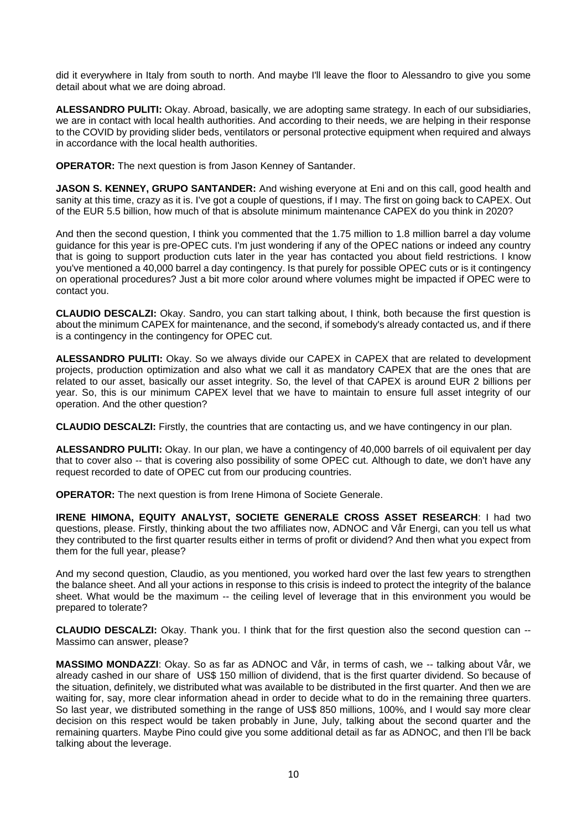did it everywhere in Italy from south to north. And maybe I'll leave the floor to Alessandro to give you some detail about what we are doing abroad.

**ALESSANDRO PULITI:** Okay. Abroad, basically, we are adopting same strategy. In each of our subsidiaries, we are in contact with local health authorities. And according to their needs, we are helping in their response to the COVID by providing slider beds, ventilators or personal protective equipment when required and always in accordance with the local health authorities.

**OPERATOR:** The next question is from Jason Kenney of Santander.

**JASON S. KENNEY, GRUPO SANTANDER:** And wishing everyone at Eni and on this call, good health and sanity at this time, crazy as it is. I've got a couple of questions, if I may. The first on going back to CAPEX. Out of the EUR 5.5 billion, how much of that is absolute minimum maintenance CAPEX do you think in 2020?

And then the second question, I think you commented that the 1.75 million to 1.8 million barrel a day volume guidance for this year is pre-OPEC cuts. I'm just wondering if any of the OPEC nations or indeed any country that is going to support production cuts later in the year has contacted you about field restrictions. I know you've mentioned a 40,000 barrel a day contingency. Is that purely for possible OPEC cuts or is it contingency on operational procedures? Just a bit more color around where volumes might be impacted if OPEC were to contact you.

**CLAUDIO DESCALZI:** Okay. Sandro, you can start talking about, I think, both because the first question is about the minimum CAPEX for maintenance, and the second, if somebody's already contacted us, and if there is a contingency in the contingency for OPEC cut.

**ALESSANDRO PULITI:** Okay. So we always divide our CAPEX in CAPEX that are related to development projects, production optimization and also what we call it as mandatory CAPEX that are the ones that are related to our asset, basically our asset integrity. So, the level of that CAPEX is around EUR 2 billions per year. So, this is our minimum CAPEX level that we have to maintain to ensure full asset integrity of our operation. And the other question?

**CLAUDIO DESCALZI:** Firstly, the countries that are contacting us, and we have contingency in our plan.

**ALESSANDRO PULITI:** Okay. In our plan, we have a contingency of 40,000 barrels of oil equivalent per day that to cover also -- that is covering also possibility of some OPEC cut. Although to date, we don't have any request recorded to date of OPEC cut from our producing countries.

**OPERATOR:** The next question is from Irene Himona of Societe Generale.

**IRENE HIMONA, EQUITY ANALYST, SOCIETE GENERALE CROSS ASSET RESEARCH**: I had two questions, please. Firstly, thinking about the two affiliates now, ADNOC and Vår Energi, can you tell us what they contributed to the first quarter results either in terms of profit or dividend? And then what you expect from them for the full year, please?

And my second question, Claudio, as you mentioned, you worked hard over the last few years to strengthen the balance sheet. And all your actions in response to this crisis is indeed to protect the integrity of the balance sheet. What would be the maximum -- the ceiling level of leverage that in this environment you would be prepared to tolerate?

**CLAUDIO DESCALZI:** Okay. Thank you. I think that for the first question also the second question can -- Massimo can answer, please?

**MASSIMO MONDAZZI**: Okay. So as far as ADNOC and Vår, in terms of cash, we -- talking about Vår, we already cashed in our share of US\$ 150 million of dividend, that is the first quarter dividend. So because of the situation, definitely, we distributed what was available to be distributed in the first quarter. And then we are waiting for, say, more clear information ahead in order to decide what to do in the remaining three quarters. So last year, we distributed something in the range of US\$ 850 millions, 100%, and I would say more clear decision on this respect would be taken probably in June, July, talking about the second quarter and the remaining quarters. Maybe Pino could give you some additional detail as far as ADNOC, and then I'll be back talking about the leverage.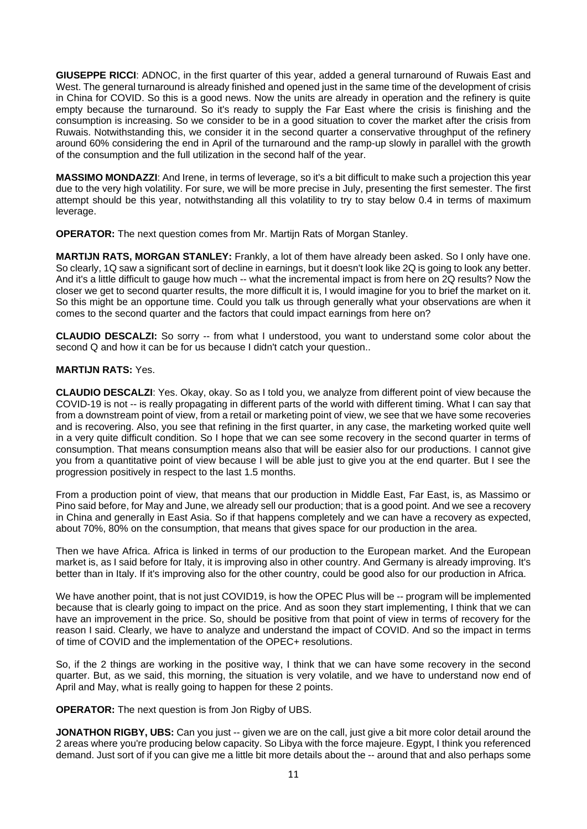**GIUSEPPE RICCI**: ADNOC, in the first quarter of this year, added a general turnaround of Ruwais East and West. The general turnaround is already finished and opened just in the same time of the development of crisis in China for COVID. So this is a good news. Now the units are already in operation and the refinery is quite empty because the turnaround. So it's ready to supply the Far East where the crisis is finishing and the consumption is increasing. So we consider to be in a good situation to cover the market after the crisis from Ruwais. Notwithstanding this, we consider it in the second quarter a conservative throughput of the refinery around 60% considering the end in April of the turnaround and the ramp-up slowly in parallel with the growth of the consumption and the full utilization in the second half of the year.

**MASSIMO MONDAZZI**: And Irene, in terms of leverage, so it's a bit difficult to make such a projection this year due to the very high volatility. For sure, we will be more precise in July, presenting the first semester. The first attempt should be this year, notwithstanding all this volatility to try to stay below 0.4 in terms of maximum leverage.

**OPERATOR:** The next question comes from Mr. Martijn Rats of Morgan Stanley.

**MARTIJN RATS, MORGAN STANLEY:** Frankly, a lot of them have already been asked. So I only have one. So clearly, 1Q saw a significant sort of decline in earnings, but it doesn't look like 2Q is going to look any better. And it's a little difficult to gauge how much -- what the incremental impact is from here on 2Q results? Now the closer we get to second quarter results, the more difficult it is, I would imagine for you to brief the market on it. So this might be an opportune time. Could you talk us through generally what your observations are when it comes to the second quarter and the factors that could impact earnings from here on?

**CLAUDIO DESCALZI:** So sorry -- from what I understood, you want to understand some color about the second Q and how it can be for us because I didn't catch your question..

## **MARTIJN RATS:** Yes.

**CLAUDIO DESCALZI**: Yes. Okay, okay. So as I told you, we analyze from different point of view because the COVID-19 is not -- is really propagating in different parts of the world with different timing. What I can say that from a downstream point of view, from a retail or marketing point of view, we see that we have some recoveries and is recovering. Also, you see that refining in the first quarter, in any case, the marketing worked quite well in a very quite difficult condition. So I hope that we can see some recovery in the second quarter in terms of consumption. That means consumption means also that will be easier also for our productions. I cannot give you from a quantitative point of view because I will be able just to give you at the end quarter. But I see the progression positively in respect to the last 1.5 months.

From a production point of view, that means that our production in Middle East, Far East, is, as Massimo or Pino said before, for May and June, we already sell our production; that is a good point. And we see a recovery in China and generally in East Asia. So if that happens completely and we can have a recovery as expected, about 70%, 80% on the consumption, that means that gives space for our production in the area.

Then we have Africa. Africa is linked in terms of our production to the European market. And the European market is, as I said before for Italy, it is improving also in other country. And Germany is already improving. It's better than in Italy. If it's improving also for the other country, could be good also for our production in Africa.

We have another point, that is not just COVID19, is how the OPEC Plus will be -- program will be implemented because that is clearly going to impact on the price. And as soon they start implementing, I think that we can have an improvement in the price. So, should be positive from that point of view in terms of recovery for the reason I said. Clearly, we have to analyze and understand the impact of COVID. And so the impact in terms of time of COVID and the implementation of the OPEC+ resolutions.

So, if the 2 things are working in the positive way, I think that we can have some recovery in the second quarter. But, as we said, this morning, the situation is very volatile, and we have to understand now end of April and May, what is really going to happen for these 2 points.

**OPERATOR:** The next question is from Jon Rigby of UBS.

**JONATHON RIGBY, UBS:** Can you just -- given we are on the call, just give a bit more color detail around the 2 areas where you're producing below capacity. So Libya with the force majeure. Egypt, I think you referenced demand. Just sort of if you can give me a little bit more details about the -- around that and also perhaps some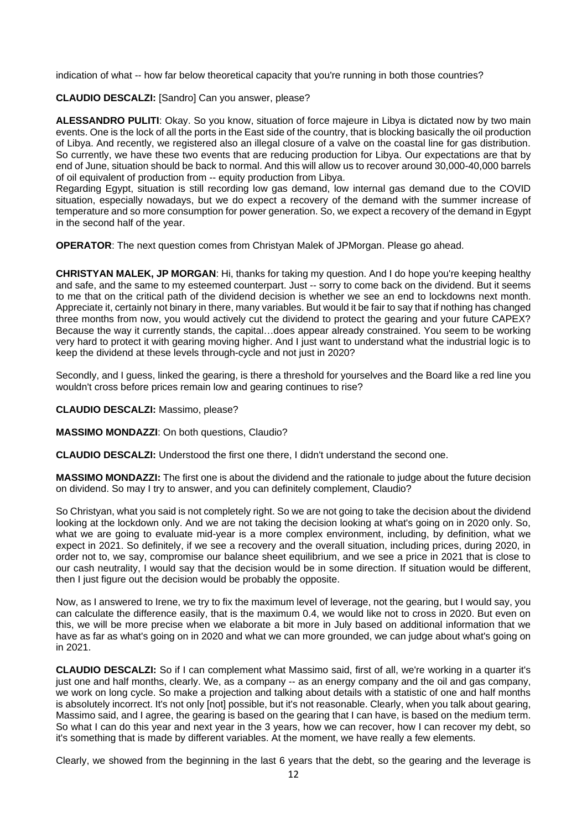indication of what -- how far below theoretical capacity that you're running in both those countries?

**CLAUDIO DESCALZI:** [Sandro] Can you answer, please?

**ALESSANDRO PULITI**: Okay. So you know, situation of force majeure in Libya is dictated now by two main events. One is the lock of all the ports in the East side of the country, that is blocking basically the oil production of Libya. And recently, we registered also an illegal closure of a valve on the coastal line for gas distribution. So currently, we have these two events that are reducing production for Libya. Our expectations are that by end of June, situation should be back to normal. And this will allow us to recover around 30,000-40,000 barrels of oil equivalent of production from -- equity production from Libya.

Regarding Egypt, situation is still recording low gas demand, low internal gas demand due to the COVID situation, especially nowadays, but we do expect a recovery of the demand with the summer increase of temperature and so more consumption for power generation. So, we expect a recovery of the demand in Egypt in the second half of the year.

**OPERATOR**: The next question comes from Christyan Malek of JPMorgan. Please go ahead.

**CHRISTYAN MALEK, JP MORGAN**: Hi, thanks for taking my question. And I do hope you're keeping healthy and safe, and the same to my esteemed counterpart. Just -- sorry to come back on the dividend. But it seems to me that on the critical path of the dividend decision is whether we see an end to lockdowns next month. Appreciate it, certainly not binary in there, many variables. But would it be fair to say that if nothing has changed three months from now, you would actively cut the dividend to protect the gearing and your future CAPEX? Because the way it currently stands, the capital…does appear already constrained. You seem to be working very hard to protect it with gearing moving higher. And I just want to understand what the industrial logic is to keep the dividend at these levels through-cycle and not just in 2020?

Secondly, and I guess, linked the gearing, is there a threshold for yourselves and the Board like a red line you wouldn't cross before prices remain low and gearing continues to rise?

### **CLAUDIO DESCALZI:** Massimo, please?

**MASSIMO MONDAZZI**: On both questions, Claudio?

**CLAUDIO DESCALZI:** Understood the first one there, I didn't understand the second one.

**MASSIMO MONDAZZI:** The first one is about the dividend and the rationale to judge about the future decision on dividend. So may I try to answer, and you can definitely complement, Claudio?

So Christyan, what you said is not completely right. So we are not going to take the decision about the dividend looking at the lockdown only. And we are not taking the decision looking at what's going on in 2020 only. So, what we are going to evaluate mid-year is a more complex environment, including, by definition, what we expect in 2021. So definitely, if we see a recovery and the overall situation, including prices, during 2020, in order not to, we say, compromise our balance sheet equilibrium, and we see a price in 2021 that is close to our cash neutrality, I would say that the decision would be in some direction. If situation would be different, then I just figure out the decision would be probably the opposite.

Now, as I answered to Irene, we try to fix the maximum level of leverage, not the gearing, but I would say, you can calculate the difference easily, that is the maximum 0.4, we would like not to cross in 2020. But even on this, we will be more precise when we elaborate a bit more in July based on additional information that we have as far as what's going on in 2020 and what we can more grounded, we can judge about what's going on in 2021.

**CLAUDIO DESCALZI:** So if I can complement what Massimo said, first of all, we're working in a quarter it's just one and half months, clearly. We, as a company -- as an energy company and the oil and gas company, we work on long cycle. So make a projection and talking about details with a statistic of one and half months is absolutely incorrect. It's not only [not] possible, but it's not reasonable. Clearly, when you talk about gearing, Massimo said, and I agree, the gearing is based on the gearing that I can have, is based on the medium term. So what I can do this year and next year in the 3 years, how we can recover, how I can recover my debt, so it's something that is made by different variables. At the moment, we have really a few elements.

Clearly, we showed from the beginning in the last 6 years that the debt, so the gearing and the leverage is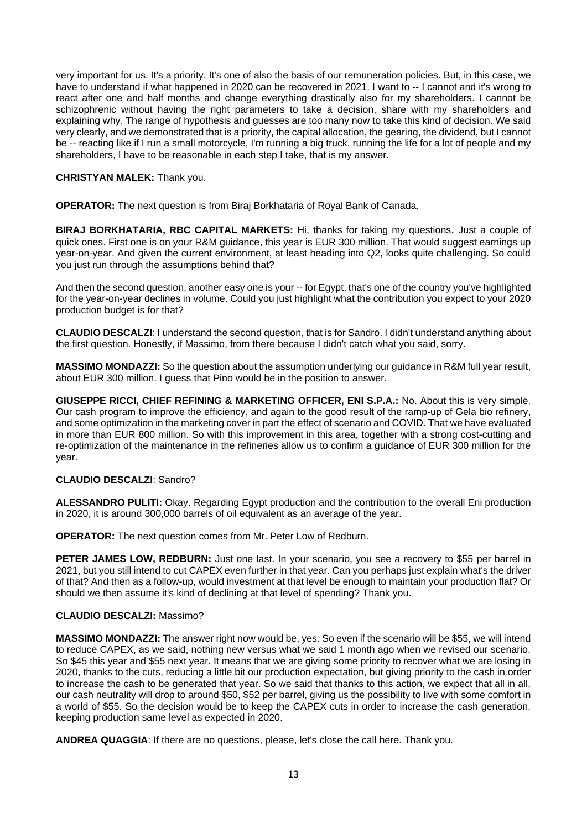very important for us. It's a priority. It's one of also the basis of our remuneration policies. But, in this case, we have to understand if what happened in 2020 can be recovered in 2021. I want to -- I cannot and it's wrong to react after one and half months and change everything drastically also for my shareholders. I cannot be schizophrenic without having the right parameters to take a decision, share with my shareholders and explaining why. The range of hypothesis and guesses are too many now to take this kind of decision. We said very clearly, and we demonstrated that is a priority, the capital allocation, the gearing, the dividend, but I cannot be -- reacting like if I run a small motorcycle, I'm running a big truck, running the life for a lot of people and my shareholders, I have to be reasonable in each step I take, that is my answer.

## **CHRISTYAN MALEK:** Thank you.

**OPERATOR:** The next question is from Biraj Borkhataria of Royal Bank of Canada.

**BIRAJ BORKHATARIA, RBC CAPITAL MARKETS:** Hi, thanks for taking my questions. Just a couple of quick ones. First one is on your R&M guidance, this year is EUR 300 million. That would suggest earnings up year-on-year. And given the current environment, at least heading into Q2, looks quite challenging. So could you just run through the assumptions behind that?

And then the second question, another easy one is your -- for Egypt, that's one of the country you've highlighted for the year-on-year declines in volume. Could you just highlight what the contribution you expect to your 2020 production budget is for that?

**CLAUDIO DESCALZI**: I understand the second question, that is for Sandro. I didn't understand anything about the first question. Honestly, if Massimo, from there because I didn't catch what you said, sorry.

**MASSIMO MONDAZZI:** So the question about the assumption underlying our guidance in R&M full year result, about EUR 300 million. I guess that Pino would be in the position to answer.

**GIUSEPPE RICCI, CHIEF REFINING & MARKETING OFFICER, ENI S.P.A.:** No. About this is very simple. Our cash program to improve the efficiency, and again to the good result of the ramp-up of Gela bio refinery, and some optimization in the marketing cover in part the effect of scenario and COVID. That we have evaluated in more than EUR 800 million. So with this improvement in this area, together with a strong cost-cutting and re-optimization of the maintenance in the refineries allow us to confirm a guidance of EUR 300 million for the year.

## **CLAUDIO DESCALZI**: Sandro?

**ALESSANDRO PULITI:** Okay. Regarding Egypt production and the contribution to the overall Eni production in 2020, it is around 300,000 barrels of oil equivalent as an average of the year.

**OPERATOR:** The next question comes from Mr. Peter Low of Redburn.

PETER JAMES LOW, REDBURN: Just one last. In your scenario, you see a recovery to \$55 per barrel in 2021, but you still intend to cut CAPEX even further in that year. Can you perhaps just explain what's the driver of that? And then as a follow-up, would investment at that level be enough to maintain your production flat? Or should we then assume it's kind of declining at that level of spending? Thank you.

## **CLAUDIO DESCALZI:** Massimo?

**MASSIMO MONDAZZI:** The answer right now would be, yes. So even if the scenario will be \$55, we will intend to reduce CAPEX, as we said, nothing new versus what we said 1 month ago when we revised our scenario. So \$45 this year and \$55 next year. It means that we are giving some priority to recover what we are losing in 2020, thanks to the cuts, reducing a little bit our production expectation, but giving priority to the cash in order to increase the cash to be generated that year. So we said that thanks to this action, we expect that all in all, our cash neutrality will drop to around \$50, \$52 per barrel, giving us the possibility to live with some comfort in a world of \$55. So the decision would be to keep the CAPEX cuts in order to increase the cash generation, keeping production same level as expected in 2020.

**ANDREA QUAGGIA**: If there are no questions, please, let's close the call here. Thank you.